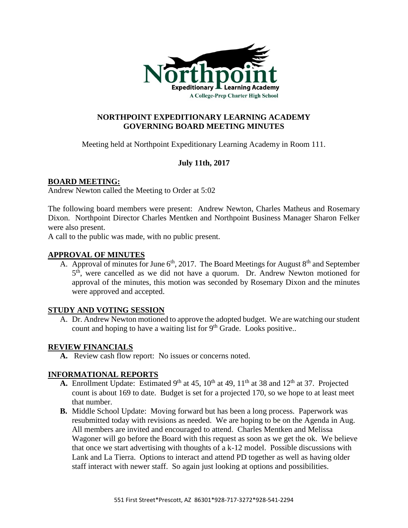

# **NORTHPOINT EXPEDITIONARY LEARNING ACADEMY GOVERNING BOARD MEETING MINUTES**

Meeting held at Northpoint Expeditionary Learning Academy in Room 111.

# **July 11th, 2017**

## **BOARD MEETING:**

Andrew Newton called the Meeting to Order at 5:02

The following board members were present: Andrew Newton, Charles Matheus and Rosemary Dixon. Northpoint Director Charles Mentken and Northpoint Business Manager Sharon Felker were also present.

A call to the public was made, with no public present.

#### **APPROVAL OF MINUTES**

A. Approval of minutes for June  $6<sup>th</sup>$ , 2017. The Board Meetings for August  $8<sup>th</sup>$  and September 5<sup>th</sup>, were cancelled as we did not have a quorum. Dr. Andrew Newton motioned for approval of the minutes, this motion was seconded by Rosemary Dixon and the minutes were approved and accepted.

## **STUDY AND VOTING SESSION**

A. Dr. Andrew Newton motioned to approve the adopted budget. We are watching our student count and hoping to have a waiting list for  $9<sup>th</sup>$  Grade. Looks positive..

## **REVIEW FINANCIALS**

**A.** Review cash flow report: No issues or concerns noted.

## **INFORMATIONAL REPORTS**

- **A.** Enrollment Update: Estimated 9<sup>th</sup> at 45, 10<sup>th</sup> at 49, 11<sup>th</sup> at 38 and 12<sup>th</sup> at 37. Projected count is about 169 to date. Budget is set for a projected 170, so we hope to at least meet that number.
- **B.** Middle School Update: Moving forward but has been a long process. Paperwork was resubmitted today with revisions as needed. We are hoping to be on the Agenda in Aug. All members are invited and encouraged to attend. Charles Mentken and Melissa Wagoner will go before the Board with this request as soon as we get the ok. We believe that once we start advertising with thoughts of a k-12 model. Possible discussions with Lank and La Tierra. Options to interact and attend PD together as well as having older staff interact with newer staff. So again just looking at options and possibilities.